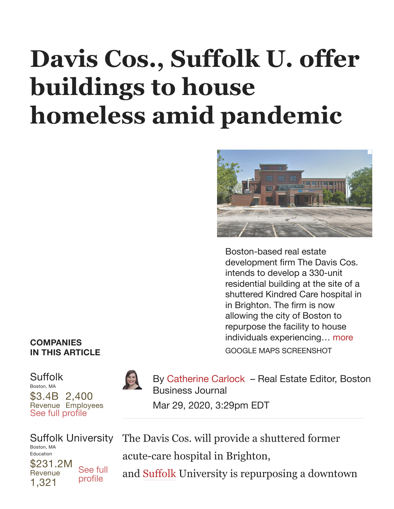## **[Davis Cos., Suffolk U. offer](https://www.bizjournals.com/#) buildings to house homeless amid pandemic**



Boston-based real estate development firm The Davis Cos. intends to develop a 330-unit residential building at the site of a shuttered Kindred Care hospital in in Brighton. The firm is now allowing the city of Boston to repurpose the facility to house individuals experiencing… [more](https://www.bizjournals.com/#) GOOGLE MAPS SCREENSHOT

## **COMPANIES IN THIS ARTICLE**

\$3.4B 2,400 Revenue Employees [Suffolk](https://www.bizjournals.com/profile/company/org_ch_0faee901322d193a889dfdbd2e1114ae?iana=comcard_seefull) Boston, MA See full profile



By [Catherine](https://www.bizjournals.com/boston/bio/26231/Catherine+Carlock) Carlock – Real Estate Editor, Boston Business Journal Mar 29, 2020, 3:29pm EDT

\$231.2M **Revenue** 1,321 Suffolk [University](https://www.bizjournals.com/profile/company/org_ch_4b6d5725d4341b8f1a186739bd737ea3?iana=comcard_seefull) Boston, MA Education See full profile

The Davis Cos. will provide a shuttered former

acute-care hospital in Brighton,

and [Suffolk](https://www.bizjournals.com/profile/company/org_ch_0faee901322d193a889dfdbd2e1114ae) University is repurposing a downtown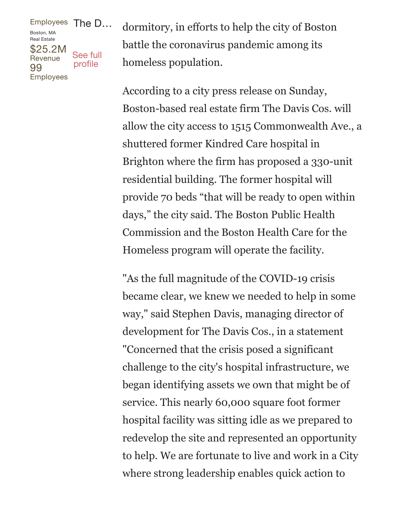## [Employees](https://www.bizjournals.com/profile/company/org_ch_4b6d5725d4341b8f1a186739bd737ea3?iana=comcard_seefull) The D… [\\$25.2M](https://www.bizjournals.com/profile/company/org_ch_ec4c26d434e0ea68b1e954bd200db9ca?iana=comcard_seefull) **Revenue** 99 Employees Boston, MA Real Estate See full profile

dormitory, in efforts to help the city of Boston battle the coronavirus pandemic among its homeless population.

According to a city press release on Sunday, Boston-based real estate firm The Davis Cos. will allow the city access to 1515 Commonwealth Ave., a shuttered former Kindred Care hospital in Brighton where the firm has proposed a 330-unit residential building. The former hospital will provide 70 beds "that will be ready to open within days, " the city said. The Boston Public Health Commission and the Boston Health Care for the Homeless program will operate the facility.

"As the full magnitude of the COVID-19 crisis became clear, we knew we needed to help in some way, " said Stephen Davis, managing director of development for The Davis Cos., in a statement "Concerned that the crisis posed a significant challenge to the city's hospital infrastructure, we began identifying assets we own that might be of service. This nearly 60,000 square foot former hospital facility was sitting idle as we prepared to redevelop the site and represented an opportunity to help. We are fortunate to live and work in a City where strong leadership enables quick action to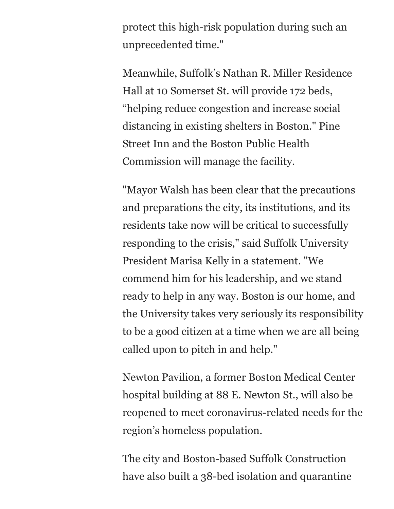protect this high-risk population during such an unprecedented time."

Meanwhile, Suffolk's Nathan R. Miller Residence Hall at 10 Somerset St. will provide 172 beds, "helping reduce congestion and increase social distancing in existing shelters in Boston." Pine Street Inn and the Boston Public Health Commission will manage the facility.

"Mayor Walsh has been clear that the precautions and preparations the city, its institutions, and its residents take now will be critical to successfully responding to the crisis, " said Suffolk University President Marisa Kelly in a statement. "We commend him for his leadership, and we stand ready to help in any way. Boston is our home, and the University takes very seriously its responsibility to be a good citizen at a time when we are all being called upon to pitch in and help."

Newton Pavilion, a former Boston Medical Center hospital building at 88 E. Newton St., will also be reopened to meet coronavirus-related needs for the region's homeless population.

The city and Boston-based Suffolk Construction have also built a 38-bed isolation and quarantine